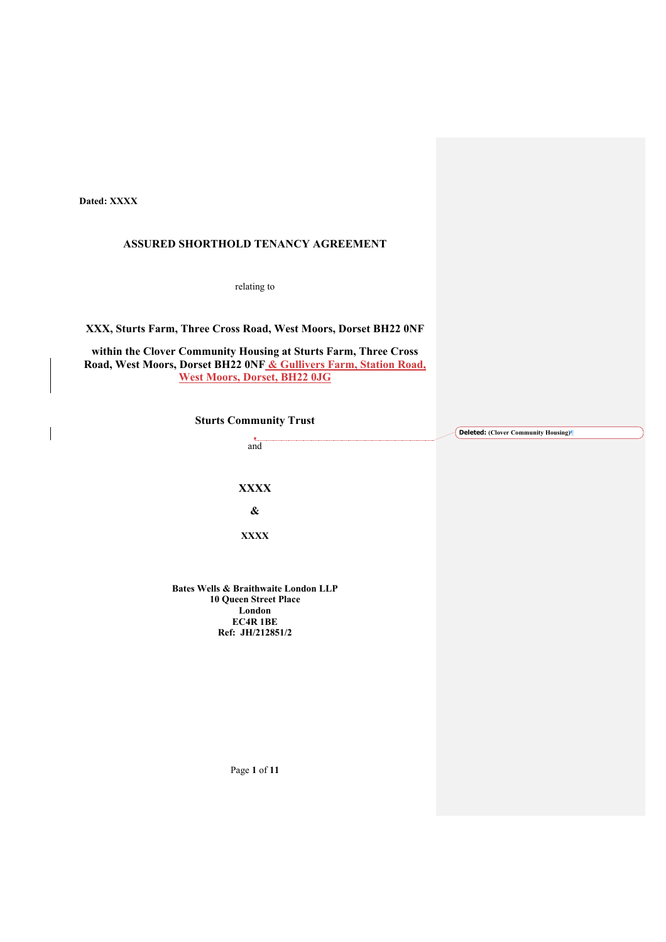**Dated: XXXX**

 $\overline{\phantom{a}}$ 

# **ASSURED SHORTHOLD TENANCY AGREEMENT**

relating to

**XXX, Sturts Farm, Three Cross Road, West Moors, Dorset BH22 0NF**

**within the Clover Community Housing at Sturts Farm, Three Cross Road, West Moors, Dorset BH22 0NF & Gullivers Farm, Station Road, West Moors, Dorset, BH22 0JG**

| <b>Sturts Community Trust</b>                   |                                     |  |
|-------------------------------------------------|-------------------------------------|--|
|                                                 | Deleted: (Clover Community Housing) |  |
| and                                             |                                     |  |
|                                                 |                                     |  |
|                                                 |                                     |  |
| <b>XXXX</b>                                     |                                     |  |
| $\pmb{\&}$                                      |                                     |  |
| <b>XXXX</b>                                     |                                     |  |
|                                                 |                                     |  |
|                                                 |                                     |  |
| <b>Bates Wells &amp; Braithwaite London LLP</b> |                                     |  |
| <b>10 Queen Street Place</b><br>London          |                                     |  |
| <b>EC4R 1BE</b>                                 |                                     |  |
| Ref: JH/212851/2                                |                                     |  |
|                                                 |                                     |  |
|                                                 |                                     |  |
|                                                 |                                     |  |
|                                                 |                                     |  |
|                                                 |                                     |  |
|                                                 |                                     |  |
|                                                 |                                     |  |
|                                                 |                                     |  |
| Page 1 of 11                                    |                                     |  |
|                                                 |                                     |  |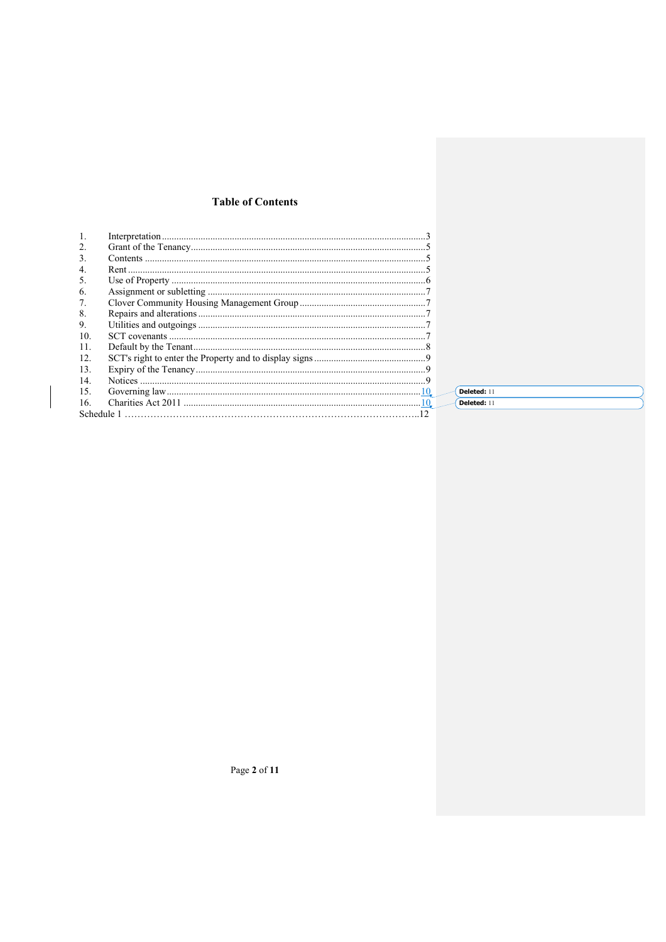# **Table of Contents**

| 2.         |             |
|------------|-------------|
| 3.         |             |
| 4.         |             |
| 5.         |             |
| 6.         |             |
| 7.         |             |
| 8.         |             |
| 9.         |             |
| 10.        |             |
| 11.        |             |
| 12.        |             |
| 13.        |             |
| 14.        |             |
| 15.        | Deleted: 11 |
| 16.        | Deleted: 11 |
| Schedule 1 |             |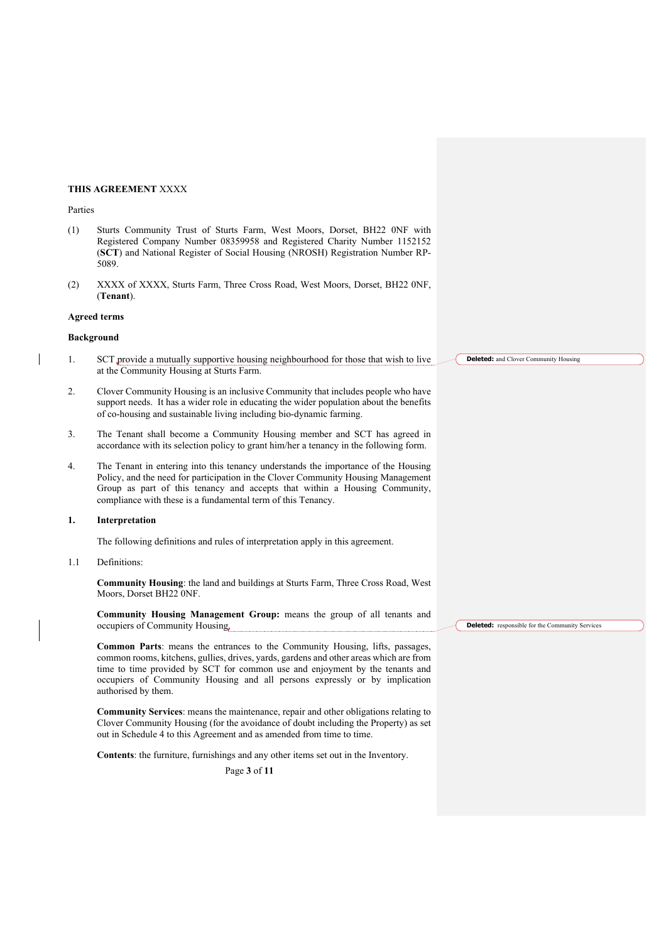# **THIS AGREEMENT** XXXX

#### Parties

- (1) Sturts Community Trust of Sturts Farm, West Moors, Dorset, BH22 0NF with Registered Company Number 08359958 and Registered Charity Number 1152152 (**SCT**) and National Register of Social Housing (NROSH) Registration Number RP-5089.
- (2) XXXX of XXXX, Sturts Farm, Three Cross Road, West Moors, Dorset, BH22 0NF, (**Tenant**).

#### **Agreed terms**

#### **Background**

- 1. SCT provide a mutually supportive housing neighbourhood for those that wish to live at the Community Housing at Sturts Farm.
- 2. Clover Community Housing is an inclusive Community that includes people who have support needs. It has a wider role in educating the wider population about the benefits of co-housing and sustainable living including bio-dynamic farming.
- 3. The Tenant shall become a Community Housing member and SCT has agreed in accordance with its selection policy to grant him/her a tenancy in the following form.
- 4. The Tenant in entering into this tenancy understands the importance of the Housing Policy, and the need for participation in the Clover Community Housing Management Group as part of this tenancy and accepts that within a Housing Community, compliance with these is a fundamental term of this Tenancy.

## **1. Interpretation**

The following definitions and rules of interpretation apply in this agreement.

1.1 Definitions:

**Community Housing**: the land and buildings at Sturts Farm, Three Cross Road, West Moors, Dorset BH22 0NF.

**Community Housing Management Group:** means the group of all tenants and occupiers of Community Housing.

**Common Parts**: means the entrances to the Community Housing, lifts, passages, common rooms, kitchens, gullies, drives, yards, gardens and other areas which are from time to time provided by SCT for common use and enjoyment by the tenants and occupiers of Community Housing and all persons expressly or by implication authorised by them.

**Community Services**: means the maintenance, repair and other obligations relating to Clover Community Housing (for the avoidance of doubt including the Property) as set out in Schedule 4 to this Agreement and as amended from time to time.

**Contents**: the furniture, furnishings and any other items set out in the Inventory.

Page **3** of **11**

**Deleted:** and Clover Community Housing

**Deleted:** responsible for the Community Services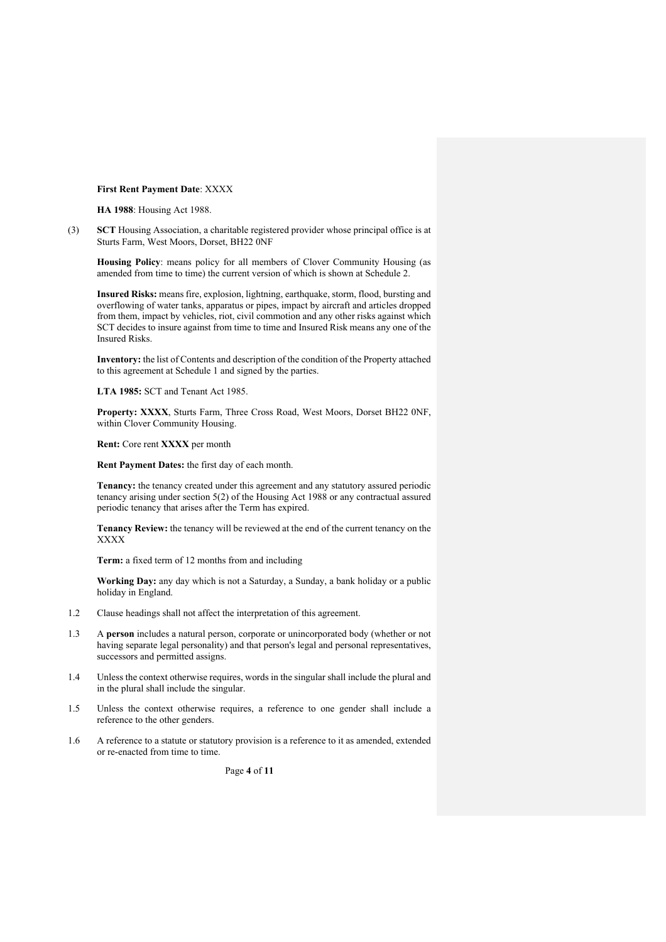## **First Rent Payment Date**: XXXX

**HA 1988**: Housing Act 1988.

(3) **SCT** Housing Association, a charitable registered provider whose principal office is at Sturts Farm, West Moors, Dorset, BH22 0NF

**Housing Policy**: means policy for all members of Clover Community Housing (as amended from time to time) the current version of which is shown at Schedule 2.

**Insured Risks:** means fire, explosion, lightning, earthquake, storm, flood, bursting and overflowing of water tanks, apparatus or pipes, impact by aircraft and articles dropped from them, impact by vehicles, riot, civil commotion and any other risks against which SCT decides to insure against from time to time and Insured Risk means any one of the Insured Risks.

**Inventory:** the list of Contents and description of the condition of the Property attached to this agreement at Schedule 1 and signed by the parties.

**LTA 1985:** SCT and Tenant Act 1985.

**Property: XXXX**, Sturts Farm, Three Cross Road, West Moors, Dorset BH22 0NF, within Clover Community Housing.

**Rent:** Core rent **XXXX** per month

**Rent Payment Dates:** the first day of each month.

**Tenancy:** the tenancy created under this agreement and any statutory assured periodic tenancy arising under section 5(2) of the Housing Act 1988 or any contractual assured periodic tenancy that arises after the Term has expired.

**Tenancy Review:** the tenancy will be reviewed at the end of the current tenancy on the XXXX

**Term:** a fixed term of 12 months from and including

**Working Day:** any day which is not a Saturday, a Sunday, a bank holiday or a public holiday in England.

- 1.2 Clause headings shall not affect the interpretation of this agreement.
- 1.3 A **person** includes a natural person, corporate or unincorporated body (whether or not having separate legal personality) and that person's legal and personal representatives, successors and permitted assigns.
- 1.4 Unless the context otherwise requires, words in the singular shall include the plural and in the plural shall include the singular.
- 1.5 Unless the context otherwise requires, a reference to one gender shall include a reference to the other genders.
- 1.6 A reference to a statute or statutory provision is a reference to it as amended, extended or re-enacted from time to time.

Page **4** of **11**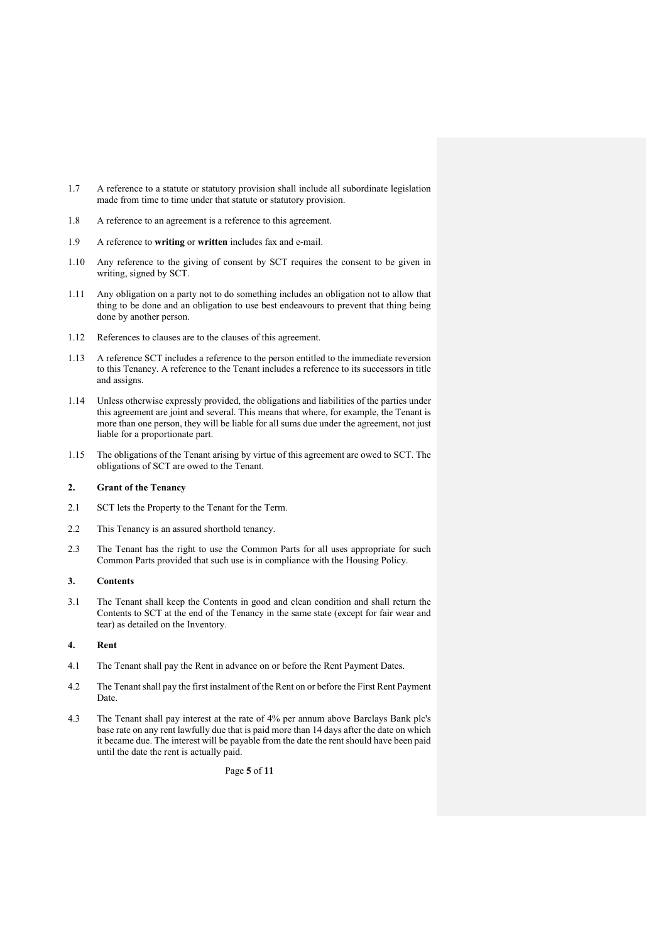- 1.7 A reference to a statute or statutory provision shall include all subordinate legislation made from time to time under that statute or statutory provision.
- 1.8 A reference to an agreement is a reference to this agreement.
- 1.9 A reference to **writing** or **written** includes fax and e-mail.
- 1.10 Any reference to the giving of consent by SCT requires the consent to be given in writing, signed by SCT.
- 1.11 Any obligation on a party not to do something includes an obligation not to allow that thing to be done and an obligation to use best endeavours to prevent that thing being done by another person.
- 1.12 References to clauses are to the clauses of this agreement.
- 1.13 A reference SCT includes a reference to the person entitled to the immediate reversion to this Tenancy. A reference to the Tenant includes a reference to its successors in title and assigns.
- 1.14 Unless otherwise expressly provided, the obligations and liabilities of the parties under this agreement are joint and several. This means that where, for example, the Tenant is more than one person, they will be liable for all sums due under the agreement, not just liable for a proportionate part.
- 1.15 The obligations of the Tenant arising by virtue of this agreement are owed to SCT. The obligations of SCT are owed to the Tenant.

### **2. Grant of the Tenancy**

- 2.1 SCT lets the Property to the Tenant for the Term.
- 2.2 This Tenancy is an assured shorthold tenancy.
- 2.3 The Tenant has the right to use the Common Parts for all uses appropriate for such Common Parts provided that such use is in compliance with the Housing Policy.

#### **3. Contents**

3.1 The Tenant shall keep the Contents in good and clean condition and shall return the Contents to SCT at the end of the Tenancy in the same state (except for fair wear and tear) as detailed on the Inventory.

# **4. Rent**

- 4.1 The Tenant shall pay the Rent in advance on or before the Rent Payment Dates.
- 4.2 The Tenant shall pay the first instalment of the Rent on or before the First Rent Payment Date.
- 4.3 The Tenant shall pay interest at the rate of 4% per annum above Barclays Bank plc's base rate on any rent lawfully due that is paid more than 14 days after the date on which it became due. The interest will be payable from the date the rent should have been paid until the date the rent is actually paid.

Page **5** of **11**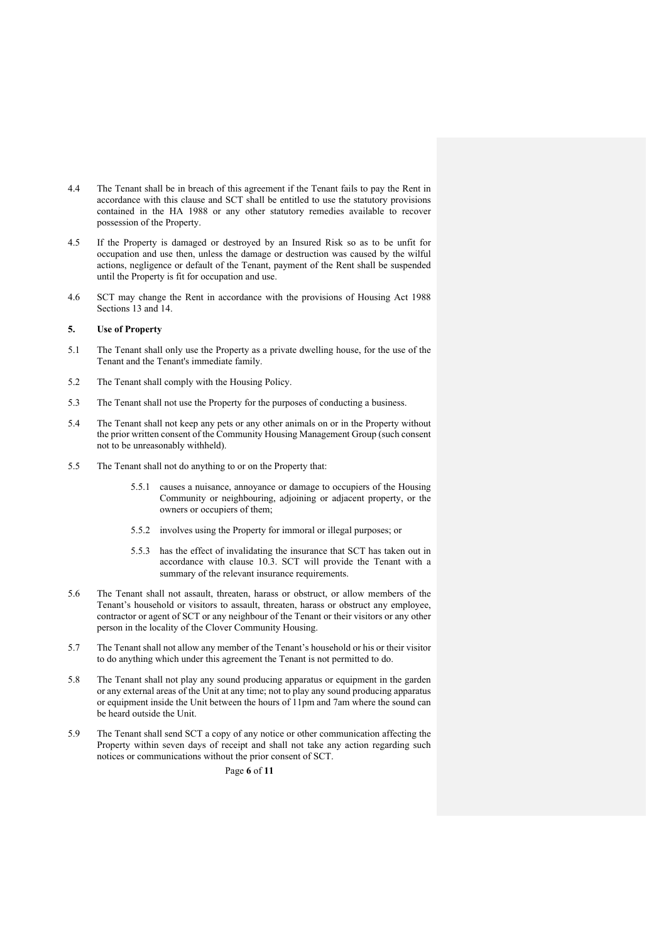- 4.4 The Tenant shall be in breach of this agreement if the Tenant fails to pay the Rent in accordance with this clause and SCT shall be entitled to use the statutory provisions contained in the HA 1988 or any other statutory remedies available to recover possession of the Property.
- 4.5 If the Property is damaged or destroyed by an Insured Risk so as to be unfit for occupation and use then, unless the damage or destruction was caused by the wilful actions, negligence or default of the Tenant, payment of the Rent shall be suspended until the Property is fit for occupation and use.
- 4.6 SCT may change the Rent in accordance with the provisions of Housing Act 1988 Sections 13 and 14.

## **5. Use of Property**

- 5.1 The Tenant shall only use the Property as a private dwelling house, for the use of the Tenant and the Tenant's immediate family.
- 5.2 The Tenant shall comply with the Housing Policy.
- 5.3 The Tenant shall not use the Property for the purposes of conducting a business.
- 5.4 The Tenant shall not keep any pets or any other animals on or in the Property without the prior written consent of the Community Housing Management Group (such consent not to be unreasonably withheld).
- 5.5 The Tenant shall not do anything to or on the Property that:
	- 5.5.1 causes a nuisance, annoyance or damage to occupiers of the Housing Community or neighbouring, adjoining or adjacent property, or the owners or occupiers of them;
	- 5.5.2 involves using the Property for immoral or illegal purposes; or
	- 5.5.3 has the effect of invalidating the insurance that SCT has taken out in accordance with clause 10.3. SCT will provide the Tenant with a summary of the relevant insurance requirements.
- 5.6 The Tenant shall not assault, threaten, harass or obstruct, or allow members of the Tenant's household or visitors to assault, threaten, harass or obstruct any employee, contractor or agent of SCT or any neighbour of the Tenant or their visitors or any other person in the locality of the Clover Community Housing.
- 5.7 The Tenant shall not allow any member of the Tenant's household or his or their visitor to do anything which under this agreement the Tenant is not permitted to do.
- 5.8 The Tenant shall not play any sound producing apparatus or equipment in the garden or any external areas of the Unit at any time; not to play any sound producing apparatus or equipment inside the Unit between the hours of 11pm and 7am where the sound can be heard outside the Unit.
- 5.9 The Tenant shall send SCT a copy of any notice or other communication affecting the Property within seven days of receipt and shall not take any action regarding such notices or communications without the prior consent of SCT.

Page **6** of **11**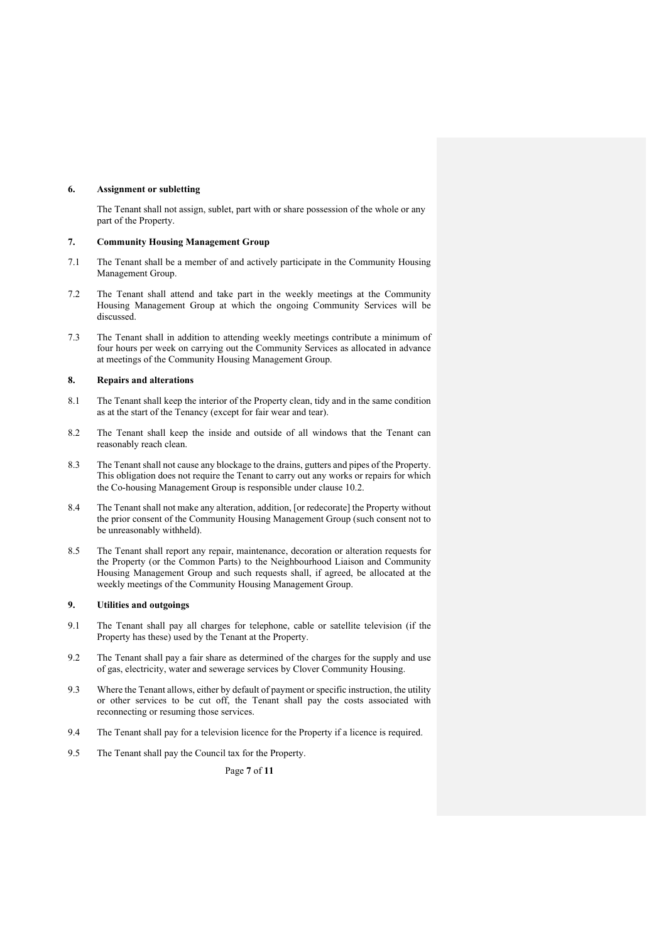## **6. Assignment or subletting**

The Tenant shall not assign, sublet, part with or share possession of the whole or any part of the Property.

# **7. Community Housing Management Group**

- 7.1 The Tenant shall be a member of and actively participate in the Community Housing Management Group.
- 7.2 The Tenant shall attend and take part in the weekly meetings at the Community Housing Management Group at which the ongoing Community Services will be discussed.
- 7.3 The Tenant shall in addition to attending weekly meetings contribute a minimum of four hours per week on carrying out the Community Services as allocated in advance at meetings of the Community Housing Management Group.

#### **8. Repairs and alterations**

- 8.1 The Tenant shall keep the interior of the Property clean, tidy and in the same condition as at the start of the Tenancy (except for fair wear and tear).
- 8.2 The Tenant shall keep the inside and outside of all windows that the Tenant can reasonably reach clean.
- 8.3 The Tenant shall not cause any blockage to the drains, gutters and pipes of the Property. This obligation does not require the Tenant to carry out any works or repairs for which the Co-housing Management Group is responsible under clause 10.2.
- 8.4 The Tenant shall not make any alteration, addition, [or redecorate] the Property without the prior consent of the Community Housing Management Group (such consent not to be unreasonably withheld).
- 8.5 The Tenant shall report any repair, maintenance, decoration or alteration requests for the Property (or the Common Parts) to the Neighbourhood Liaison and Community Housing Management Group and such requests shall, if agreed, be allocated at the weekly meetings of the Community Housing Management Group.

## **9. Utilities and outgoings**

- 9.1 The Tenant shall pay all charges for telephone, cable or satellite television (if the Property has these) used by the Tenant at the Property.
- 9.2 The Tenant shall pay a fair share as determined of the charges for the supply and use of gas, electricity, water and sewerage services by Clover Community Housing.
- 9.3 Where the Tenant allows, either by default of payment or specific instruction, the utility or other services to be cut off, the Tenant shall pay the costs associated with reconnecting or resuming those services.
- 9.4 The Tenant shall pay for a television licence for the Property if a licence is required.
- 9.5 The Tenant shall pay the Council tax for the Property.

Page **7** of **11**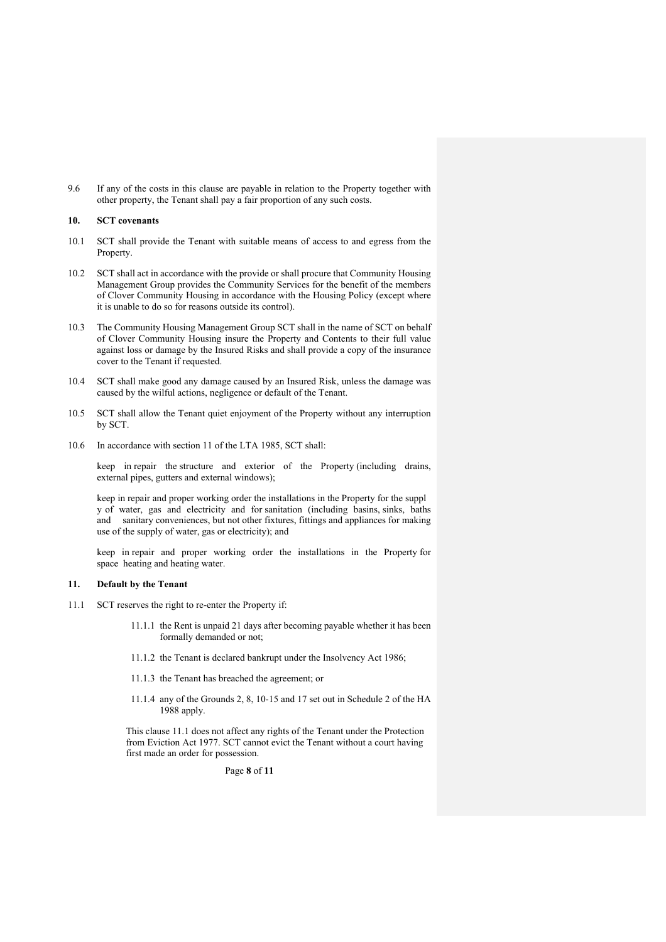9.6 If any of the costs in this clause are payable in relation to the Property together with other property, the Tenant shall pay a fair proportion of any such costs.

### **10. SCT covenants**

- 10.1 SCT shall provide the Tenant with suitable means of access to and egress from the Property.
- 10.2 SCT shall act in accordance with the provide or shall procure that Community Housing Management Group provides the Community Services for the benefit of the members of Clover Community Housing in accordance with the Housing Policy (except where it is unable to do so for reasons outside its control).
- 10.3 The Community Housing Management Group SCT shall in the name of SCT on behalf of Clover Community Housing insure the Property and Contents to their full value against loss or damage by the Insured Risks and shall provide a copy of the insurance cover to the Tenant if requested.
- 10.4 SCT shall make good any damage caused by an Insured Risk, unless the damage was caused by the wilful actions, negligence or default of the Tenant.
- 10.5 SCT shall allow the Tenant quiet enjoyment of the Property without any interruption by SCT.
- 10.6 In accordance with section 11 of the LTA 1985, SCT shall:

keep in repair the structure and exterior of the Property (including drains, external pipes, gutters and external windows);

keep in repair and proper working order the installations in the Property for the suppl y of water, gas and electricity and for sanitation (including basins, sinks, baths and sanitary conveniences, but not other fixtures, fittings and appliances for making use of the supply of water, gas or electricity); and

keep in repair and proper working order the installations in the Property for space heating and heating water.

## **11. Default by the Tenant**

- 11.1 SCT reserves the right to re-enter the Property if:
	- 11.1.1 the Rent is unpaid 21 days after becoming payable whether it has been formally demanded or not;
	- 11.1.2 the Tenant is declared bankrupt under the Insolvency Act 1986;
	- 11.1.3 the Tenant has breached the agreement; or
	- 11.1.4 any of the Grounds 2, 8, 10-15 and 17 set out in Schedule 2 of the HA 1988 apply.

This clause 11.1 does not affect any rights of the Tenant under the Protection from Eviction Act 1977. SCT cannot evict the Tenant without a court having first made an order for possession.

Page **8** of **11**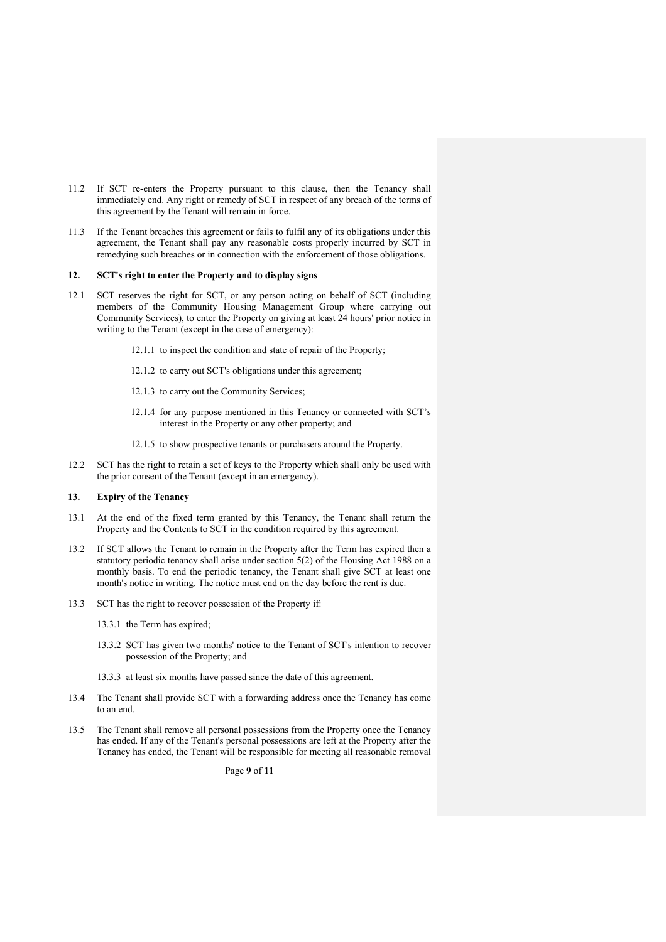- 11.2 If SCT re-enters the Property pursuant to this clause, then the Tenancy shall immediately end. Any right or remedy of SCT in respect of any breach of the terms of this agreement by the Tenant will remain in force.
- 11.3 If the Tenant breaches this agreement or fails to fulfil any of its obligations under this agreement, the Tenant shall pay any reasonable costs properly incurred by SCT in remedying such breaches or in connection with the enforcement of those obligations.

#### **12. SCT's right to enter the Property and to display signs**

- 12.1 SCT reserves the right for SCT, or any person acting on behalf of SCT (including members of the Community Housing Management Group where carrying out Community Services), to enter the Property on giving at least 24 hours' prior notice in writing to the Tenant (except in the case of emergency):
	- 12.1.1 to inspect the condition and state of repair of the Property;
	- 12.1.2 to carry out SCT's obligations under this agreement;
	- 12.1.3 to carry out the Community Services;
	- 12.1.4 for any purpose mentioned in this Tenancy or connected with SCT's interest in the Property or any other property; and
	- 12.1.5 to show prospective tenants or purchasers around the Property.
- 12.2 SCT has the right to retain a set of keys to the Property which shall only be used with the prior consent of the Tenant (except in an emergency).

# **13. Expiry of the Tenancy**

- 13.1 At the end of the fixed term granted by this Tenancy, the Tenant shall return the Property and the Contents to SCT in the condition required by this agreement.
- 13.2 If SCT allows the Tenant to remain in the Property after the Term has expired then a statutory periodic tenancy shall arise under section 5(2) of the Housing Act 1988 on a monthly basis. To end the periodic tenancy, the Tenant shall give SCT at least one month's notice in writing. The notice must end on the day before the rent is due.
- 13.3 SCT has the right to recover possession of the Property if:
	- 13.3.1 the Term has expired;
	- 13.3.2 SCT has given two months' notice to the Tenant of SCT's intention to recover possession of the Property; and
	- 13.3.3 at least six months have passed since the date of this agreement.
- 13.4 The Tenant shall provide SCT with a forwarding address once the Tenancy has come to an end.
- 13.5 The Tenant shall remove all personal possessions from the Property once the Tenancy has ended. If any of the Tenant's personal possessions are left at the Property after the Tenancy has ended, the Tenant will be responsible for meeting all reasonable removal

Page **9** of **11**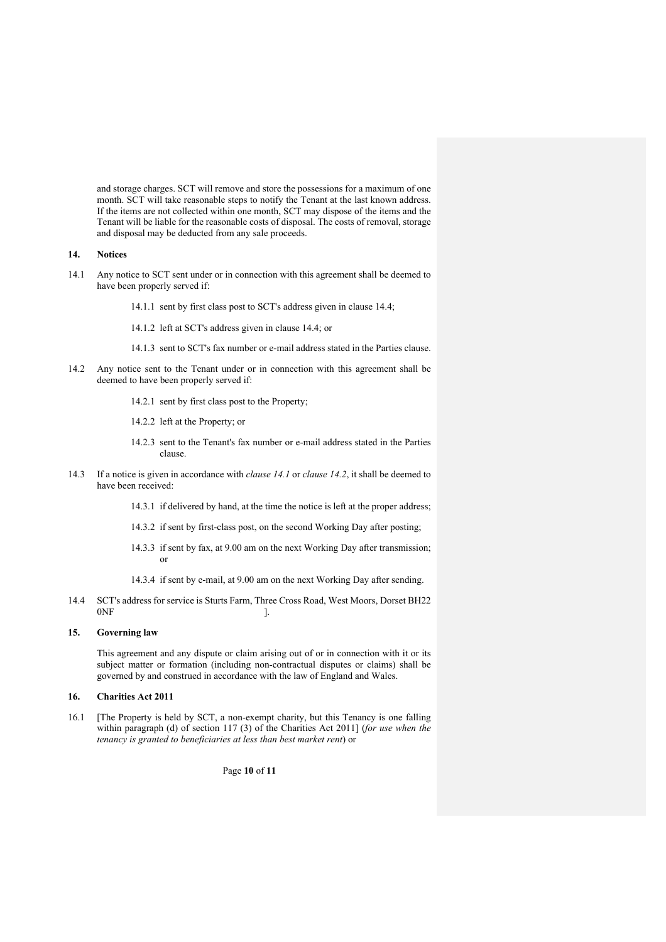and storage charges. SCT will remove and store the possessions for a maximum of one month. SCT will take reasonable steps to notify the Tenant at the last known address. If the items are not collected within one month, SCT may dispose of the items and the Tenant will be liable for the reasonable costs of disposal. The costs of removal, storage and disposal may be deducted from any sale proceeds.

# **14. Notices**

- 14.1 Any notice to SCT sent under or in connection with this agreement shall be deemed to have been properly served if:
	- 14.1.1 sent by first class post to SCT's address given in clause 14.4;
	- 14.1.2 left at SCT's address given in clause 14.4; or
	- 14.1.3 sent to SCT's fax number or e-mail address stated in the Parties clause.
- 14.2 Any notice sent to the Tenant under or in connection with this agreement shall be deemed to have been properly served if:
	- 14.2.1 sent by first class post to the Property;
	- 14.2.2 left at the Property; or
	- 14.2.3 sent to the Tenant's fax number or e-mail address stated in the Parties clause.
- 14.3 If a notice is given in accordance with *clause 14.1* or *clause 14.2*, it shall be deemed to have been received:
	- 14.3.1 if delivered by hand, at the time the notice is left at the proper address;
	- 14.3.2 if sent by first-class post, on the second Working Day after posting;
	- 14.3.3 if sent by fax, at 9.00 am on the next Working Day after transmission; or
	- 14.3.4 if sent by e-mail, at 9.00 am on the next Working Day after sending.
- 14.4 SCT's address for service is Sturts Farm, Three Cross Road, West Moors, Dorset BH22  $0NF$  ].

## **15. Governing law**

This agreement and any dispute or claim arising out of or in connection with it or its subject matter or formation (including non-contractual disputes or claims) shall be governed by and construed in accordance with the law of England and Wales.

#### **16. Charities Act 2011**

16.1 [The Property is held by SCT, a non-exempt charity, but this Tenancy is one falling within paragraph (d) of section 117 (3) of the Charities Act 2011] (*for use when the tenancy is granted to beneficiaries at less than best market rent*) or

Page **10** of **11**